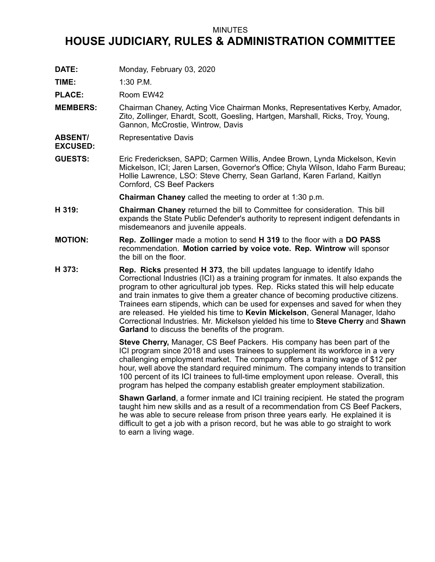## MINUTES

## **HOUSE JUDICIARY, RULES & ADMINISTRATION COMMITTEE**

**DATE:** Monday, February 03, 2020

**TIME:** 1:30 P.M.

PLACE: Room EW42

- **MEMBERS:** Chairman Chaney, Acting Vice Chairman Monks, Representatives Kerby, Amador, Zito, Zollinger, Ehardt, Scott, Goesling, Hartgen, Marshall, Ricks, Troy, Young, Gannon, McCrostie, Wintrow, Davis
- **ABSENT/** Representative Davis
- **EXCUSED:**
- **GUESTS:** Eric Fredericksen, SAPD; Carmen Willis, Andee Brown, Lynda Mickelson, Kevin Mickelson, ICI; Jaren Larsen, Governor's Office; Chyla Wilson, Idaho Farm Bureau; Hollie Lawrence, LSO: Steve Cherry, Sean Garland, Karen Farland, Kaitlyn Cornford, CS Beef Packers

**Chairman Chaney** called the meeting to order at 1:30 p.m.

- **H 319: Chairman Chaney** returned the bill to Committee for consideration. This bill expands the State Public Defender's authority to represent indigent defendants in misdemeanors and juvenile appeals.
- **MOTION: Rep. Zollinger** made <sup>a</sup> motion to send **H 319** to the floor with <sup>a</sup> **DO PASS** recommendation. **Motion carried by voice vote. Rep. Wintrow** will sponsor the bill on the floor.
- **H 373: Rep. Ricks** presented **H 373**, the bill updates language to identify Idaho Correctional Industries (ICI) as <sup>a</sup> training program for inmates. It also expands the program to other agricultural job types. Rep. Ricks stated this will help educate and train inmates to give them <sup>a</sup> greater chance of becoming productive citizens. Trainees earn stipends, which can be used for expenses and saved for when they are released. He yielded his time to **Kevin Mickelson**, General Manager, Idaho Correctional Industries. Mr. Mickelson yielded his time to **Steve Cherry** and **Shawn Garland** to discuss the benefits of the program.

**Steve Cherry,** Manager, CS Beef Packers. His company has been part of the ICI program since 2018 and uses trainees to supplement its workforce in <sup>a</sup> very challenging employment market. The company offers <sup>a</sup> training wage of \$12 per hour, well above the standard required minimum. The company intends to transition 100 percent of its ICI trainees to full-time employment upon release. Overall, this program has helped the company establish greater employment stabilization.

**Shawn Garland**, <sup>a</sup> former inmate and ICI training recipient. He stated the program taught him new skills and as <sup>a</sup> result of <sup>a</sup> recommendation from CS Beef Packers, he was able to secure release from prison three years early. He explained it is difficult to get <sup>a</sup> job with <sup>a</sup> prison record, but he was able to go straight to work to earn <sup>a</sup> living wage.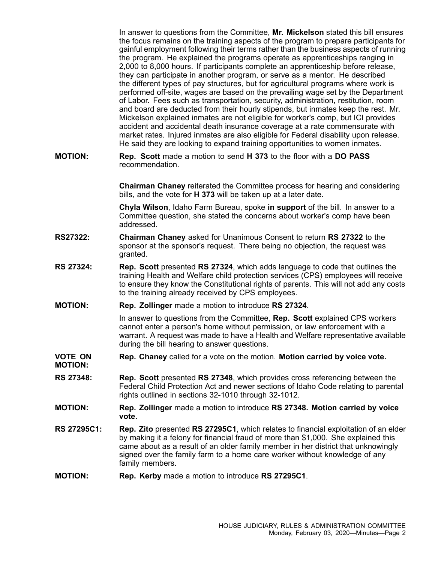In answer to questions from the Committee, **Mr. Mickelson** stated this bill ensures the focus remains on the training aspects of the program to prepare participants for gainful employment following their terms rather than the business aspects of running the program. He explained the programs operate as apprenticeships ranging in 2,000 to 8,000 hours. If participants complete an apprenticeship before release, they can participate in another program, or serve as <sup>a</sup> mentor. He described the different types of pay structures, but for agricultural programs where work is performed off-site, wages are based on the prevailing wage set by the Department of Labor. Fees such as transportation, security, administration, restitution, room and board are deducted from their hourly stipends, but inmates keep the rest. Mr. Mickelson explained inmates are not eligible for worker's comp, but ICI provides accident and accidental death insurance coverage at <sup>a</sup> rate commensurate with market rates. Injured inmates are also eligible for Federal disability upon release. He said they are looking to expand training opportunities to women inmates.

**MOTION: Rep. Scott** made <sup>a</sup> motion to send **H 373** to the floor with <sup>a</sup> **DO PASS** recommendation.

> **Chairman Chaney** reiterated the Committee process for hearing and considering bills, and the vote for **H 373** will be taken up at <sup>a</sup> later date.

**Chyla Wilson**, Idaho Farm Bureau, spoke **in support** of the bill. In answer to <sup>a</sup> Committee question, she stated the concerns about worker's comp have been addressed.

- **RS27322: Chairman Chaney** asked for Unanimous Consent to return **RS 27322** to the sponsor at the sponsor's request. There being no objection, the request was granted.
- **RS 27324: Rep. Scott** presented **RS 27324**, which adds language to code that outlines the training Health and Welfare child protection services (CPS) employees will receive to ensure they know the Constitutional rights of parents. This will not add any costs to the training already received by CPS employees.
- **MOTION: Rep. Zollinger** made <sup>a</sup> motion to introduce **RS 27324**.

In answer to questions from the Committee, **Rep. Scott** explained CPS workers cannot enter <sup>a</sup> person's home without permission, or law enforcement with <sup>a</sup> warrant. A request was made to have <sup>a</sup> Health and Welfare representative available during the bill hearing to answer questions.

- **VOTE ON MOTION: Rep. Chaney** called for <sup>a</sup> vote on the motion. **Motion carried by voice vote.**
- **RS 27348: Rep. Scott** presented **RS 27348**, which provides cross referencing between the Federal Child Protection Act and newer sections of Idaho Code relating to parental rights outlined in sections 32-1010 through 32-1012.
- **MOTION: Rep. Zollinger** made <sup>a</sup> motion to introduce **RS 27348. Motion carried by voice vote.**
- **RS 27295C1: Rep. Zito** presented **RS 27295C1**, which relates to financial exploitation of an elder by making it <sup>a</sup> felony for financial fraud of more than \$1,000. She explained this came about as <sup>a</sup> result of an older family member in her district that unknowingly signed over the family farm to <sup>a</sup> home care worker without knowledge of any family members.
- **MOTION: Rep. Kerby** made <sup>a</sup> motion to introduce **RS 27295C1**.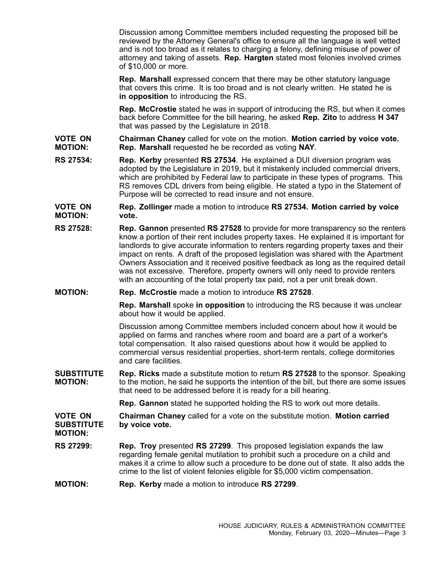Discussion among Committee members included requesting the proposed bill be reviewed by the Attorney General's office to ensure all the language is well vetted and is not too broad as it relates to charging <sup>a</sup> felony, defining misuse of power of attorney and taking of assets. **Rep. Hargten** stated most felonies involved crimes of \$10,000 or more.

**Rep. Marshall** expressed concern that there may be other statutory language that covers this crime. It is too broad and is not clearly written. He stated he is **in opposition** to introducing the RS.

**Rep. McCrostie** stated he was in support of introducing the RS, but when it comes back before Committee for the bill hearing, he asked **Rep. Zito** to address **H 347** that was passed by the Legislature in 2018.

- **VOTE ON MOTION: Chairman Chaney** called for vote on the motion. **Motion carried by voice vote. Rep. Marshall** requested he be recorded as voting **NAY**.
- **RS 27534: Rep. Kerby** presented **RS 27534**. He explained <sup>a</sup> DUI diversion program was adopted by the Legislature in 2019, but it mistakenly included commercial drivers, which are prohibited by Federal law to participate in these types of programs. This RS removes CDL drivers from being eligible. He stated <sup>a</sup> typo in the Statement of Purpose will be corrected to read insure and not ensure.

**VOTE ON MOTION: Rep. Zollinger** made <sup>a</sup> motion to introduce **RS 27534. Motion carried by voice vote.**

- **RS 27528: Rep. Gannon** presented **RS 27528** to provide for more transparency so the renters know <sup>a</sup> portion of their rent includes property taxes. He explained it is important for landlords to give accurate information to renters regarding property taxes and their impact on rents. A draft of the proposed legislation was shared with the Apartment Owners Association and it received positive feedback as long as the required detail was not excessive. Therefore, property owners will only need to provide renters with an accounting of the total property tax paid, not <sup>a</sup> per unit break down.
- **MOTION: Rep. McCrostie** made <sup>a</sup> motion to introduce **RS 27528**.

**Rep. Marshall** spoke **in opposition** to introducing the RS because it was unclear about how it would be applied.

Discussion among Committee members included concern about how it would be applied on farms and ranches where room and board are <sup>a</sup> part of <sup>a</sup> worker's total compensation. It also raised questions about how it would be applied to commercial versus residential properties, short-term rentals, college dormitories and care facilities.

**SUBSTITUTE MOTION: Rep. Ricks** made <sup>a</sup> substitute motion to return **RS 27528** to the sponsor. Speaking to the motion, he said he supports the intention of the bill, but there are some issues that need to be addressed before it is ready for <sup>a</sup> bill hearing.

**Rep. Gannon** stated he supported holding the RS to work out more details.

**VOTE ON SUBSTITUTE MOTION: Chairman Chaney** called for <sup>a</sup> vote on the substitute motion. **Motion carried by voice vote.**

- **RS 27299: Rep. Troy** presented **RS 27299**. This proposed legislation expands the law regarding female genital mutilation to prohibit such <sup>a</sup> procedure on <sup>a</sup> child and makes it <sup>a</sup> crime to allow such <sup>a</sup> procedure to be done out of state. It also adds the crime to the list of violent felonies eligible for \$5,000 victim compensation.
- **MOTION: Rep. Kerby** made <sup>a</sup> motion to introduce **RS 27299**.